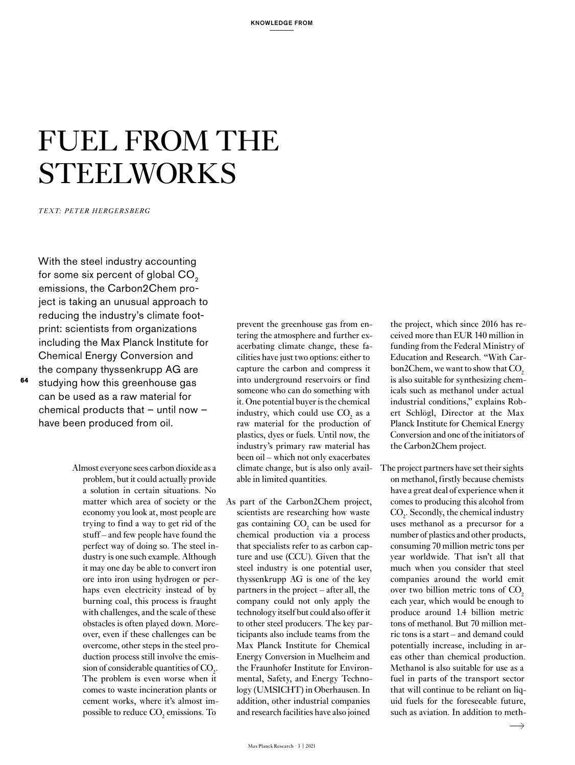# FUEL FROM THE STEELWORKS

*TEXT: PETER HERGERSBERG*

With the steel industry accounting for some six percent of global CO<sub>2</sub> emissions, the Carbon2Chem project is taking an unusual approach to reducing the industry's climate footprint: scientists from organizations including the Max Planck Institute for Chemical Energy Conversion and the company thyssenkrupp AG are

studying how this greenhouse gas can be used as a raw material for chemical products that – until now – have been produced from oil.

**64**

Almost everyone sees carbon dioxide as a problem, but it could actually provide a solution in certain situations. No matter which area of society or the economy you look at, most people are trying to find a way to get rid of the stuff – and few people have found the perfect way of doing so. The steel industry is one such example. Although it may one day be able to convert iron ore into iron using hydrogen or perhaps even electricity instead of by burning coal, this process is fraught with challenges, and the scale of these obstacles is often played down. Moreover, even if these challenges can be overcome, other steps in the steel production process still involve the emission of considerable quantities of  $CO<sub>2</sub>$ . The problem is even worse when it comes to waste incineration plants or cement works, where it's almost impossible to reduce  $CO_2$  emissions. To

prevent the greenhouse gas from entering the atmosphere and further exacerbating climate change, these facilities have just two options: either to capture the carbon and compress it into underground reservoirs or find someone who can do something with it. One potential buyer is the chemical industry, which could use  $CO<sub>2</sub>$  as a raw material for the production of plastics, dyes or fuels. Until now, the industry's primary raw material has been oil – which not only exacerbates climate change, but is also only available in limited quantities.

As part of the Carbon2Chem project, scientists are researching how waste gas containing  $CO<sub>2</sub>$  can be used for chemical production via a process that specialists refer to as carbon capture and use (CCU). Given that the steel industry is one potential user, thyssenkrupp AG is one of the key partners in the project – after all, the company could not only apply the technology itself but could also offer it to other steel producers. The key participants also include teams from the Max Planck Institute for Chemical Energy Conversion in Muelheim and the Fraunhofer Institute for Environmental, Safety, and Energy Technology (UMSICHT) in Oberhausen. In addition, other industrial companies and research facilities have also joined

the project, which since 2016 has received more than EUR 140 million in funding from the Federal Ministry of Education and Research. "With Carbon2Chem, we want to show that CO<sub>2</sub> is also suitable for synthesizing chemicals such as methanol under actual industrial conditions," explains Robert Schlögl, Director at the Max Planck Institute for Chemical Energy Conversion and one of the initiators of the Carbon2Chem project.

The project partners have set their sights on methanol, firstly because chemists have a great deal of experience when it comes to producing this alcohol from  $CO<sub>2</sub>$ . Secondly, the chemical industry uses methanol as a precursor for a number of plastics and other products, consuming 70 million metric tons per year worldwide. That isn't all that much when you consider that steel companies around the world emit over two billion metric tons of CO<sub>2</sub> each year, which would be enough to produce around 1.4 billion metric tons of methanol. But 70 million metric tons is a start – and demand could potentially increase, including in areas other than chemical production. Methanol is also suitable for use as a fuel in parts of the transport sector that will continue to be reliant on liquid fuels for the foreseeable future, such as aviation. In addition to meth-

 $\rightarrow$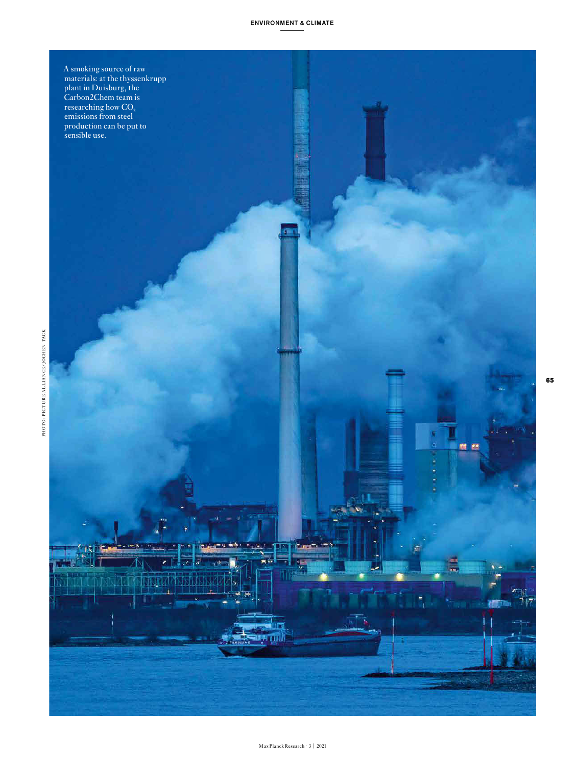### ENVIRONMENT & CLIMATE



**65**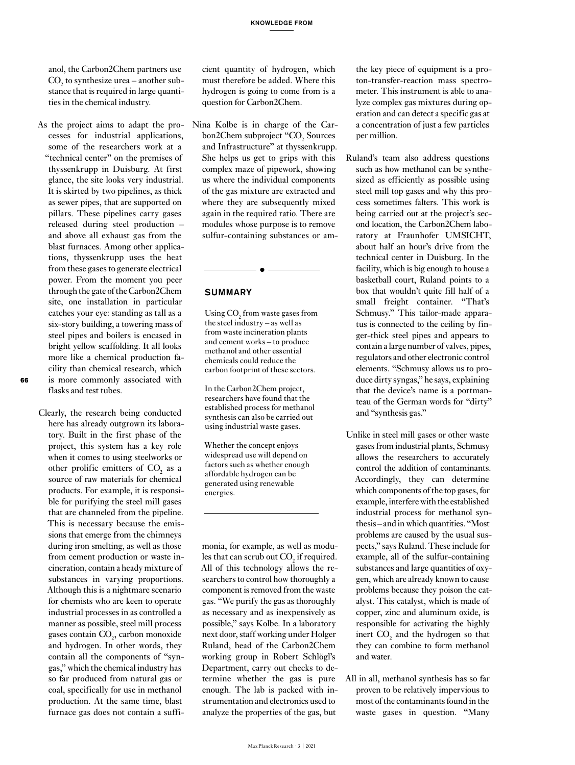anol, the Carbon2Chem partners use  $\text{CO}_2$  to synthesize urea – another substance that is required in large quantities in the chemical industry.

- As the project aims to adapt the processes for industrial applications, some of the researchers work at a "technical center" on the premises of thyssenkrupp in Duisburg. At first glance, the site looks very industrial. It is skirted by two pipelines, as thick as sewer pipes, that are supported on pillars. These pipelines carry gases released during steel production – and above all exhaust gas from the blast furnaces. Among other applications, thyssenkrupp uses the heat from these gases to generate electrical power. From the moment you peer through the gate of the Carbon2Chem site, one installation in particular catches your eye: standing as tall as a six-story building, a towering mass of steel pipes and boilers is encased in bright yellow scaffolding. It all looks more like a chemical production facility than chemical research, which is more commonly associated with flasks and test tubes.
- Clearly, the research being conducted here has already outgrown its laboratory. Built in the first phase of the project, this system has a key role when it comes to using steelworks or other prolific emitters of  $CO<sub>2</sub>$  as a source of raw materials for chemical products. For example, it is responsible for purifying the steel mill gases that are channeled from the pipeline. This is necessary because the emissions that emerge from the chimneys during iron smelting, as well as those from cement production or waste incineration, contain a heady mixture of substances in varying proportions. Although this is a nightmare scenario for chemists who are keen to operate industrial processes in as controlled a manner as possible, steel mill process gases contain  $\mathrm{CO}_2^{\vphantom{\dagger}}$ , carbon monoxide and hydrogen. In other words, they contain all the components of "syngas," which the chemical industry has so far produced from natural gas or coal, specifically for use in methanol production. At the same time, blast furnace gas does not contain a suffi-

cient quantity of hydrogen, which must therefore be added. Where this hydrogen is going to come from is a question for Carbon2Chem.

Nina Kolbe is in charge of the Carbon2Chem subproject "CO<sub>2</sub> Sources" and Infrastructure" at thyssenkrupp. She helps us get to grips with this complex maze of pipework, showing us where the individual components of the gas mixture are extracted and where they are subsequently mixed again in the required ratio. There are modules whose purpose is to remove sulfur-containing substances or am-

### SUMMARY

Using  $CO<sub>2</sub>$  from waste gases from the steel industry – as well as from waste incineration plants and cement works – to produce methanol and other essential chemicals could reduce the carbon footprint of these sectors.

In the Carbon2Chem project, researchers have found that the established process for methanol synthesis can also be carried out using industrial waste gases.

Whether the concept enjoys widespread use will depend on factors such as whether enough affordable hydrogen can be generated using renewable energies.

monia, for example, as well as modules that can scrub out  $CO_2$  if required. All of this technology allows the researchers to control how thoroughly a component is removed from the waste gas. "We purify the gas as thoroughly as necessary and as inexpensively as possible," says Kolbe. In a laboratory next door, staff working under Holger Ruland, head of the Carbon2Chem working group in Robert Schlögl's Department, carry out checks to determine whether the gas is pure enough. The lab is packed with instrumentation and electronics used to analyze the properties of the gas, but

the key piece of equipment is a proton-transfer-reaction mass spectrometer. This instrument is able to analyze complex gas mixtures during operation and can detect a specific gas at a concentration of just a few particles per million.

- Ruland's team also address questions such as how methanol can be synthesized as efficiently as possible using steel mill top gases and why this process sometimes falters. This work is being carried out at the project's second location, the Carbon2Chem laboratory at Fraunhofer UMSICHT, about half an hour's drive from the technical center in Duisburg. In the facility, which is big enough to house a basketball court, Ruland points to a box that wouldn't quite fill half of a small freight container. "That's Schmusy." This tailor-made apparatus is connected to the ceiling by finger-thick steel pipes and appears to contain a large number of valves, pipes, regulators and other electronic control elements. "Schmusy allows us to produce dirty syngas," he says, explaining that the device's name is a portmanteau of the German words for "dirty" and "synthesis gas."
- Unlike in steel mill gases or other waste gases from industrial plants, Schmusy allows the researchers to accurately control the addition of contaminants. Accordingly, they can determine which components of the top gases, for example, interfere with the established industrial process for methanol synthesis – and in which quantities. "Most problems are caused by the usual suspects," says Ruland. These include for example, all of the sulfur-containing substances and large quantities of oxygen, which are already known to cause problems because they poison the catalyst. This catalyst, which is made of copper, zinc and aluminum oxide, is responsible for activating the highly inert  $CO<sub>2</sub>$  and the hydrogen so that they can combine to form methanol and water.
- All in all, methanol synthesis has so far proven to be relatively impervious to most of the contaminants found in the waste gases in question. "Many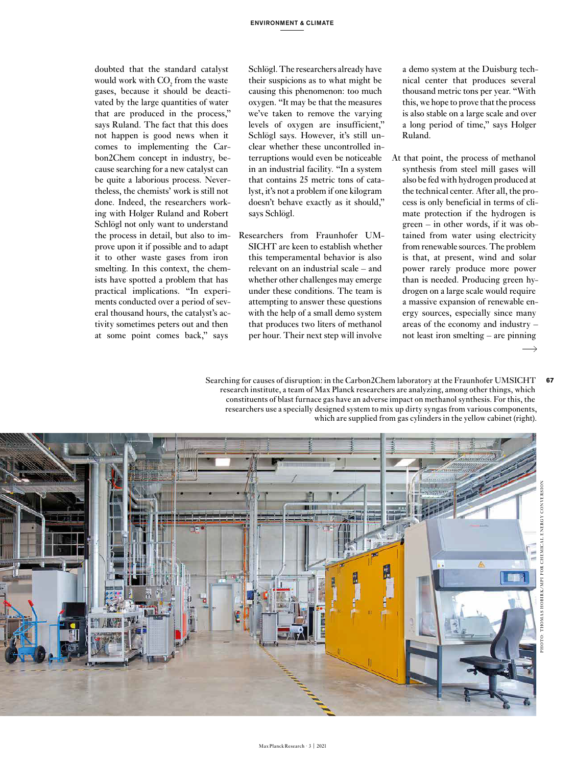doubted that the standard catalyst would work with  $CO_2$  from the waste gases, because it should be deactivated by the large quantities of water that are produced in the process," says Ruland. The fact that this does not happen is good news when it comes to implementing the Carbon2Chem concept in industry, because searching for a new catalyst can be quite a laborious process. Nevertheless, the chemists' work is still not done. Indeed, the researchers working with Holger Ruland and Robert Schlögl not only want to understand the process in detail, but also to improve upon it if possible and to adapt it to other waste gases from iron smelting. In this context, the chemists have spotted a problem that has practical implications. "In experiments conducted over a period of several thousand hours, the catalyst's activity sometimes peters out and then at some point comes back," says

Schlögl. The researchers already have their suspicions as to what might be causing this phenomenon: too much oxygen. "It may be that the measures we've taken to remove the varying levels of oxygen are insufficient," Schlögl says. However, it's still unclear whether these uncontrolled interruptions would even be noticeable in an industrial facility. "In a system that contains 25 metric tons of catalyst, it's not a problem if one kilogram doesn't behave exactly as it should," says Schlögl.

Researchers from Fraunhofer UM-SICHT are keen to establish whether this temperamental behavior is also relevant on an industrial scale – and whether other challenges may emerge under these conditions. The team is attempting to answer these questions with the help of a small demo system that produces two liters of methanol per hour. Their next step will involve

a demo system at the Duisburg technical center that produces several thousand metric tons per year. "With this, we hope to prove that the process is also stable on a large scale and over a long period of time," says Holger Ruland.

At that point, the process of methanol synthesis from steel mill gases will also be fed with hydrogen produced at the technical center. After all, the process is only beneficial in terms of climate protection if the hydrogen is green – in other words, if it was obtained from water using electricity from renewable sources. The problem is that, at present, wind and solar power rarely produce more power than is needed. Producing green hydrogen on a large scale would require a massive expansion of renewable energy sources, especially since many areas of the economy and industry – not least iron smelting – are pinning  $\rightarrow$ 

**67**

Searching for causes of disruption: in the Carbon2Chem laboratory at the Fraunhofer UMSICHT research institute, a team of Max Planck researchers are analyzing, among other things, which constituents of blast furnace gas have an adverse impact on methanol synthesis. For this, the researchers use a specially designed system to mix up dirty syngas from various components, which are supplied from gas cylinders in the yellow cabinet (right).

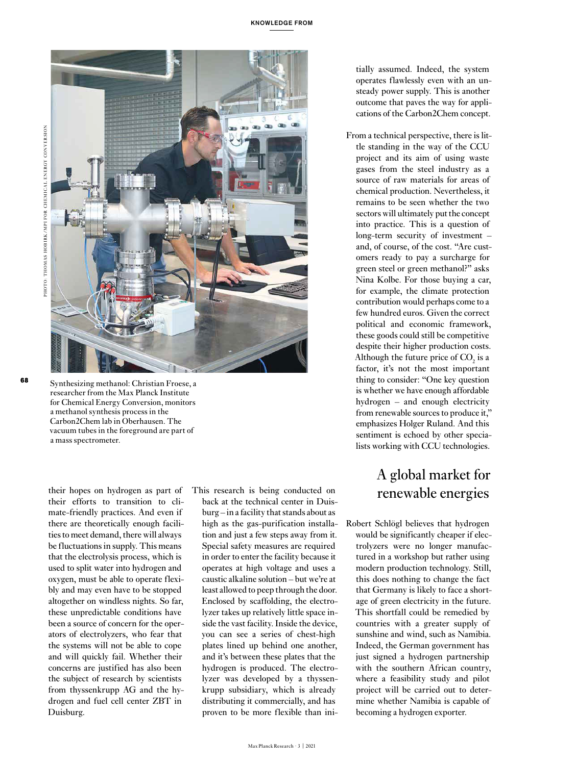

Synthesizing methanol: Christian Froese, a researcher from the Max Planck Institute for Chemical Energy Conversion, monitors a methanol synthesis process in the Carbon2Chem lab in Oberhausen. The vacuum tubes in the foreground are part of a mass spectrometer.

their hopes on hydrogen as part of their efforts to transition to climate-friendly practices. And even if there are theoretically enough facilities to meet demand, there will always be fluctuations in supply. This means that the electrolysis process, which is used to split water into hydrogen and oxygen, must be able to operate flexibly and may even have to be stopped altogether on windless nights. So far, these unpredictable conditions have been a source of concern for the operators of electrolyzers, who fear that the systems will not be able to cope and will quickly fail. Whether their concerns are justified has also been the subject of research by scientists from thyssenkrupp AG and the hydrogen and fuel cell center ZBT in Duisburg.

This research is being conducted on back at the technical center in Duisburg – in a facility that stands about as high as the gas-purification installation and just a few steps away from it. Special safety measures are required in order to enter the facility because it operates at high voltage and uses a caustic alkaline solution – but we're at least allowed to peep through the door. Enclosed by scaffolding, the electrolyzer takes up relatively little space inside the vast facility. Inside the device, you can see a series of chest-high plates lined up behind one another, and it's between these plates that the hydrogen is produced. The electrolyzer was developed by a thyssenkrupp subsidiary, which is already distributing it commercially, and has proven to be more flexible than initially assumed. Indeed, the system operates flawlessly even with an unsteady power supply. This is another outcome that paves the way for applications of the Carbon2Chem concept.

From a technical perspective, there is little standing in the way of the CCU project and its aim of using waste gases from the steel industry as a source of raw materials for areas of chemical production. Nevertheless, it remains to be seen whether the two sectors will ultimately put the concept into practice. This is a question of long-term security of investment – and, of course, of the cost. "Are customers ready to pay a surcharge for green steel or green methanol?" asks Nina Kolbe. For those buying a car, for example, the climate protection contribution would perhaps come to a few hundred euros. Given the correct political and economic framework, these goods could still be competitive despite their higher production costs. Although the future price of  $CO<sub>2</sub>$  is a factor, it's not the most important thing to consider: "One key question is whether we have enough affordable hydrogen – and enough electricity from renewable sources to produce it," emphasizes Holger Ruland. And this sentiment is echoed by other specialists working with CCU technologies.

## A global market for renewable energies

Robert Schlögl believes that hydrogen would be significantly cheaper if electrolyzers were no longer manufactured in a workshop but rather using modern production technology. Still, this does nothing to change the fact that Germany is likely to face a shortage of green electricity in the future. This shortfall could be remedied by countries with a greater supply of sunshine and wind, such as Namibia. Indeed, the German government has just signed a hydrogen partnership with the southern African country, where a feasibility study and pilot project will be carried out to determine whether Namibia is capable of becoming a hydrogen exporter.